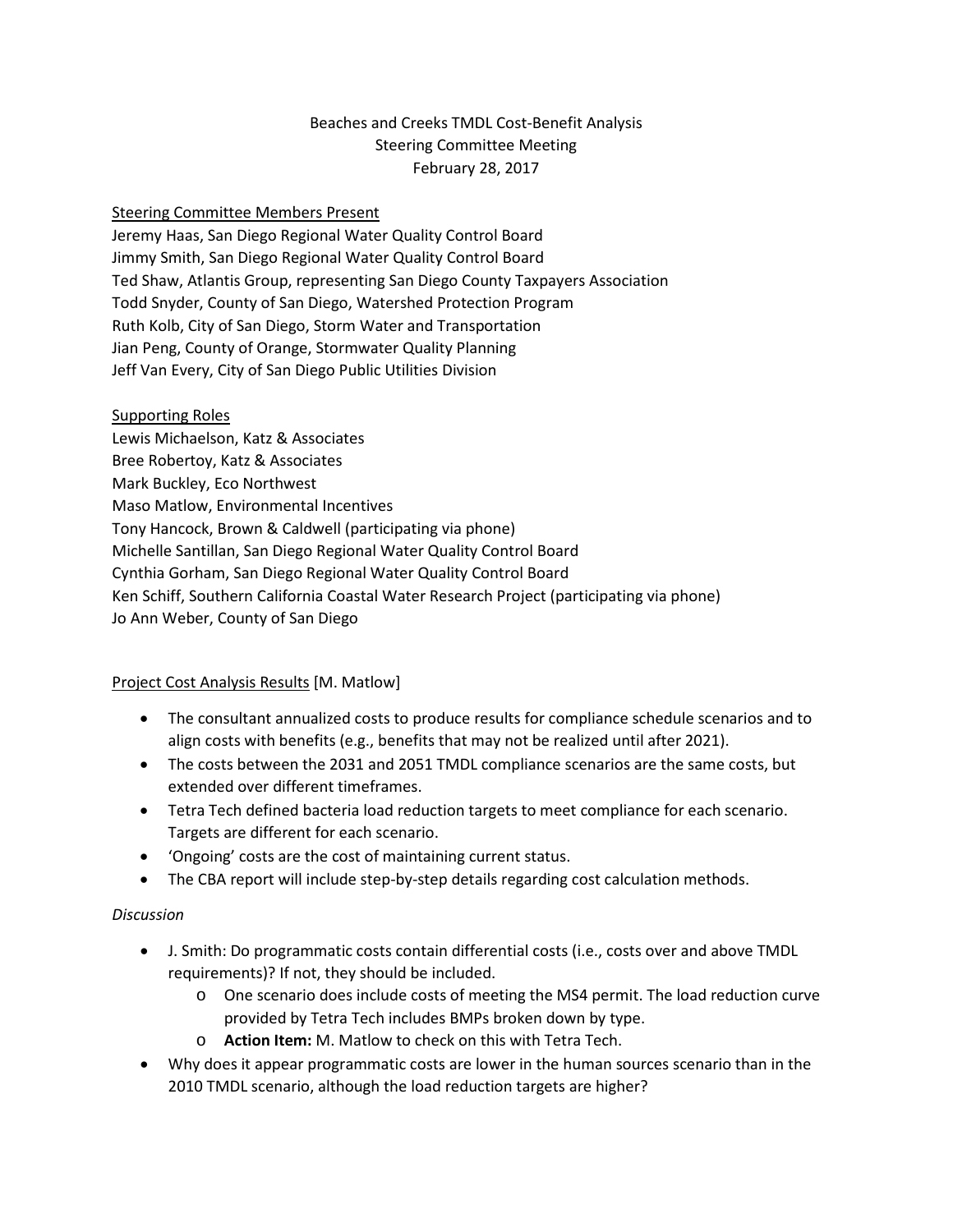# Beaches and Creeks TMDL Cost-Benefit Analysis Steering Committee Meeting February 28, 2017

### Steering Committee Members Present

Jeremy Haas, San Diego Regional Water Quality Control Board Jimmy Smith, San Diego Regional Water Quality Control Board Ted Shaw, Atlantis Group, representing San Diego County Taxpayers Association Todd Snyder, County of San Diego, Watershed Protection Program Ruth Kolb, City of San Diego, Storm Water and Transportation Jian Peng, County of Orange, Stormwater Quality Planning Jeff Van Every, City of San Diego Public Utilities Division

Supporting Roles Lewis Michaelson, Katz & Associates Bree Robertoy, Katz & Associates Mark Buckley, Eco Northwest Maso Matlow, Environmental Incentives Tony Hancock, Brown & Caldwell (participating via phone) Michelle Santillan, San Diego Regional Water Quality Control Board Cynthia Gorham, San Diego Regional Water Quality Control Board Ken Schiff, Southern California Coastal Water Research Project (participating via phone) Jo Ann Weber, County of San Diego

### Project Cost Analysis Results [M. Matlow]

- The consultant annualized costs to produce results for compliance schedule scenarios and to align costs with benefits (e.g., benefits that may not be realized until after 2021).
- The costs between the 2031 and 2051 TMDL compliance scenarios are the same costs, but extended over different timeframes.
- Tetra Tech defined bacteria load reduction targets to meet compliance for each scenario. Targets are different for each scenario.
- 'Ongoing' costs are the cost of maintaining current status.
- The CBA report will include step-by-step details regarding cost calculation methods.

### *Discussion*

- J. Smith: Do programmatic costs contain differential costs (i.e., costs over and above TMDL requirements)? If not, they should be included.
	- o One scenario does include costs of meeting the MS4 permit. The load reduction curve provided by Tetra Tech includes BMPs broken down by type.
	- o **Action Item:** M. Matlow to check on this with Tetra Tech.
- Why does it appear programmatic costs are lower in the human sources scenario than in the 2010 TMDL scenario, although the load reduction targets are higher?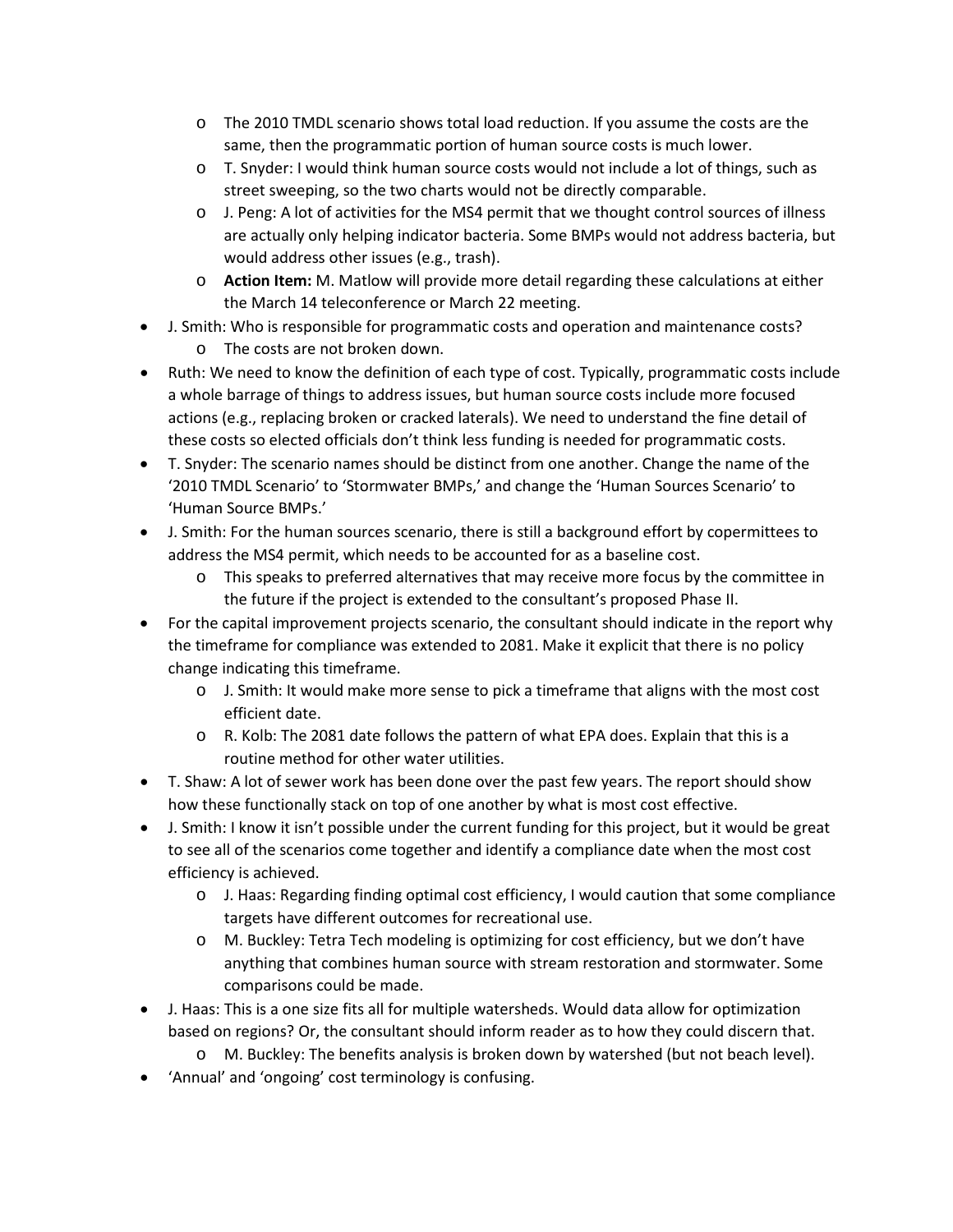- o The 2010 TMDL scenario shows total load reduction. If you assume the costs are the same, then the programmatic portion of human source costs is much lower.
- o T. Snyder: I would think human source costs would not include a lot of things, such as street sweeping, so the two charts would not be directly comparable.
- o J. Peng: A lot of activities for the MS4 permit that we thought control sources of illness are actually only helping indicator bacteria. Some BMPs would not address bacteria, but would address other issues (e.g., trash).
- o **Action Item:** M. Matlow will provide more detail regarding these calculations at either the March 14 teleconference or March 22 meeting.
- J. Smith: Who is responsible for programmatic costs and operation and maintenance costs?
	- o The costs are not broken down.
- Ruth: We need to know the definition of each type of cost. Typically, programmatic costs include a whole barrage of things to address issues, but human source costs include more focused actions (e.g., replacing broken or cracked laterals). We need to understand the fine detail of these costs so elected officials don't think less funding is needed for programmatic costs.
- T. Snyder: The scenario names should be distinct from one another. Change the name of the '2010 TMDL Scenario' to 'Stormwater BMPs,' and change the 'Human Sources Scenario' to 'Human Source BMPs.'
- J. Smith: For the human sources scenario, there is still a background effort by copermittees to address the MS4 permit, which needs to be accounted for as a baseline cost.
	- o This speaks to preferred alternatives that may receive more focus by the committee in the future if the project is extended to the consultant's proposed Phase II.
- For the capital improvement projects scenario, the consultant should indicate in the report why the timeframe for compliance was extended to 2081. Make it explicit that there is no policy change indicating this timeframe.
	- $\circ$  J. Smith: It would make more sense to pick a timeframe that aligns with the most cost efficient date.
	- o R. Kolb: The 2081 date follows the pattern of what EPA does. Explain that this is a routine method for other water utilities.
- T. Shaw: A lot of sewer work has been done over the past few years. The report should show how these functionally stack on top of one another by what is most cost effective.
- J. Smith: I know it isn't possible under the current funding for this project, but it would be great to see all of the scenarios come together and identify a compliance date when the most cost efficiency is achieved.
	- o J. Haas: Regarding finding optimal cost efficiency, I would caution that some compliance targets have different outcomes for recreational use.
	- o M. Buckley: Tetra Tech modeling is optimizing for cost efficiency, but we don't have anything that combines human source with stream restoration and stormwater. Some comparisons could be made.
- J. Haas: This is a one size fits all for multiple watersheds. Would data allow for optimization based on regions? Or, the consultant should inform reader as to how they could discern that.
	- o M. Buckley: The benefits analysis is broken down by watershed (but not beach level).
- 'Annual' and 'ongoing' cost terminology is confusing.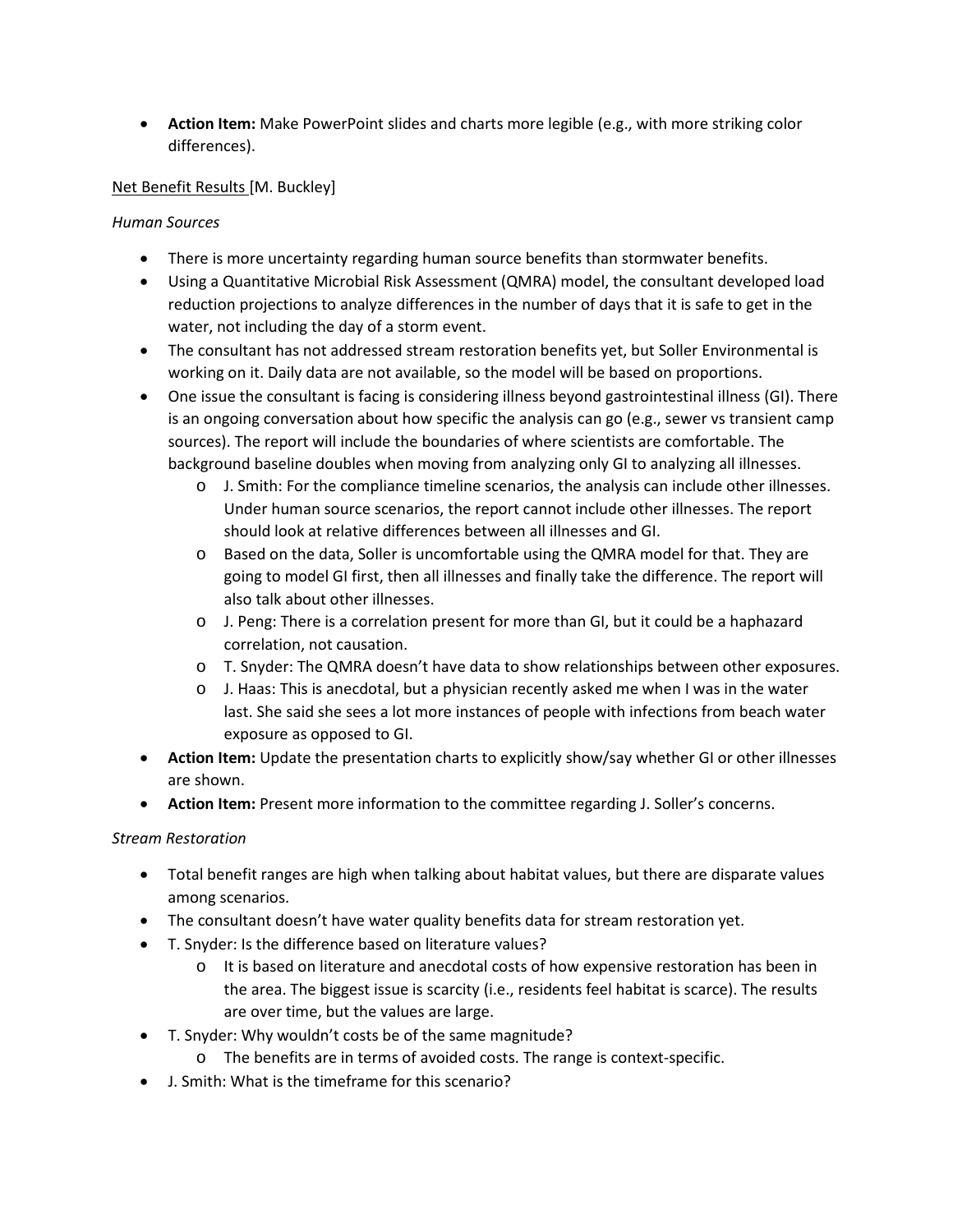• **Action Item:** Make PowerPoint slides and charts more legible (e.g., with more striking color differences).

### Net Benefit Results [M. Buckley]

### *Human Sources*

- There is more uncertainty regarding human source benefits than stormwater benefits.
- Using a Quantitative Microbial Risk Assessment (QMRA) model, the consultant developed load reduction projections to analyze differences in the number of days that it is safe to get in the water, not including the day of a storm event.
- The consultant has not addressed stream restoration benefits yet, but Soller Environmental is working on it. Daily data are not available, so the model will be based on proportions.
- One issue the consultant is facing is considering illness beyond gastrointestinal illness (GI). There is an ongoing conversation about how specific the analysis can go (e.g., sewer vs transient camp sources). The report will include the boundaries of where scientists are comfortable. The background baseline doubles when moving from analyzing only GI to analyzing all illnesses.
	- o J. Smith: For the compliance timeline scenarios, the analysis can include other illnesses. Under human source scenarios, the report cannot include other illnesses. The report should look at relative differences between all illnesses and GI.
	- o Based on the data, Soller is uncomfortable using the QMRA model for that. They are going to model GI first, then all illnesses and finally take the difference. The report will also talk about other illnesses.
	- o J. Peng: There is a correlation present for more than GI, but it could be a haphazard correlation, not causation.
	- o T. Snyder: The QMRA doesn't have data to show relationships between other exposures.
	- o J. Haas: This is anecdotal, but a physician recently asked me when I was in the water last. She said she sees a lot more instances of people with infections from beach water exposure as opposed to GI.
- **Action Item:** Update the presentation charts to explicitly show/say whether GI or other illnesses are shown.
- **Action Item:** Present more information to the committee regarding J. Soller's concerns.

### *Stream Restoration*

- Total benefit ranges are high when talking about habitat values, but there are disparate values among scenarios.
- The consultant doesn't have water quality benefits data for stream restoration yet.
- T. Snyder: Is the difference based on literature values?
	- o It is based on literature and anecdotal costs of how expensive restoration has been in the area. The biggest issue is scarcity (i.e., residents feel habitat is scarce). The results are over time, but the values are large.
- T. Snyder: Why wouldn't costs be of the same magnitude?
	- o The benefits are in terms of avoided costs. The range is context-specific.
- J. Smith: What is the timeframe for this scenario?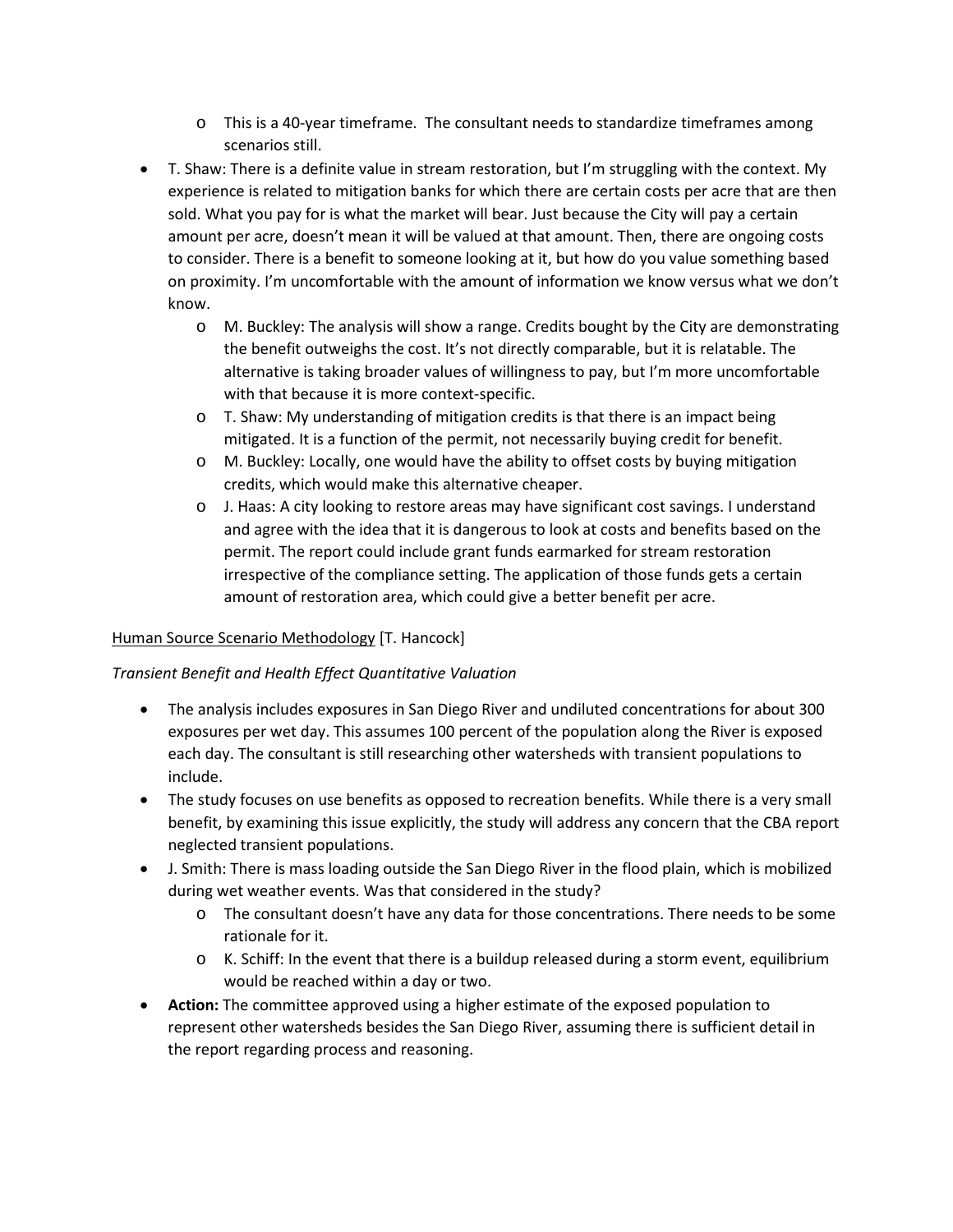- o This is a 40-year timeframe. The consultant needs to standardize timeframes among scenarios still.
- T. Shaw: There is a definite value in stream restoration, but I'm struggling with the context. My experience is related to mitigation banks for which there are certain costs per acre that are then sold. What you pay for is what the market will bear. Just because the City will pay a certain amount per acre, doesn't mean it will be valued at that amount. Then, there are ongoing costs to consider. There is a benefit to someone looking at it, but how do you value something based on proximity. I'm uncomfortable with the amount of information we know versus what we don't know.
	- o M. Buckley: The analysis will show a range. Credits bought by the City are demonstrating the benefit outweighs the cost. It's not directly comparable, but it is relatable. The alternative is taking broader values of willingness to pay, but I'm more uncomfortable with that because it is more context-specific.
	- o T. Shaw: My understanding of mitigation credits is that there is an impact being mitigated. It is a function of the permit, not necessarily buying credit for benefit.
	- o M. Buckley: Locally, one would have the ability to offset costs by buying mitigation credits, which would make this alternative cheaper.
	- o J. Haas: A city looking to restore areas may have significant cost savings. I understand and agree with the idea that it is dangerous to look at costs and benefits based on the permit. The report could include grant funds earmarked for stream restoration irrespective of the compliance setting. The application of those funds gets a certain amount of restoration area, which could give a better benefit per acre.

### Human Source Scenario Methodology [T. Hancock]

### *Transient Benefit and Health Effect Quantitative Valuation*

- The analysis includes exposures in San Diego River and undiluted concentrations for about 300 exposures per wet day. This assumes 100 percent of the population along the River is exposed each day. The consultant is still researching other watersheds with transient populations to include.
- The study focuses on use benefits as opposed to recreation benefits. While there is a very small benefit, by examining this issue explicitly, the study will address any concern that the CBA report neglected transient populations.
- J. Smith: There is mass loading outside the San Diego River in the flood plain, which is mobilized during wet weather events. Was that considered in the study?
	- o The consultant doesn't have any data for those concentrations. There needs to be some rationale for it.
	- o K. Schiff: In the event that there is a buildup released during a storm event, equilibrium would be reached within a day or two.
- **Action:** The committee approved using a higher estimate of the exposed population to represent other watersheds besides the San Diego River, assuming there is sufficient detail in the report regarding process and reasoning.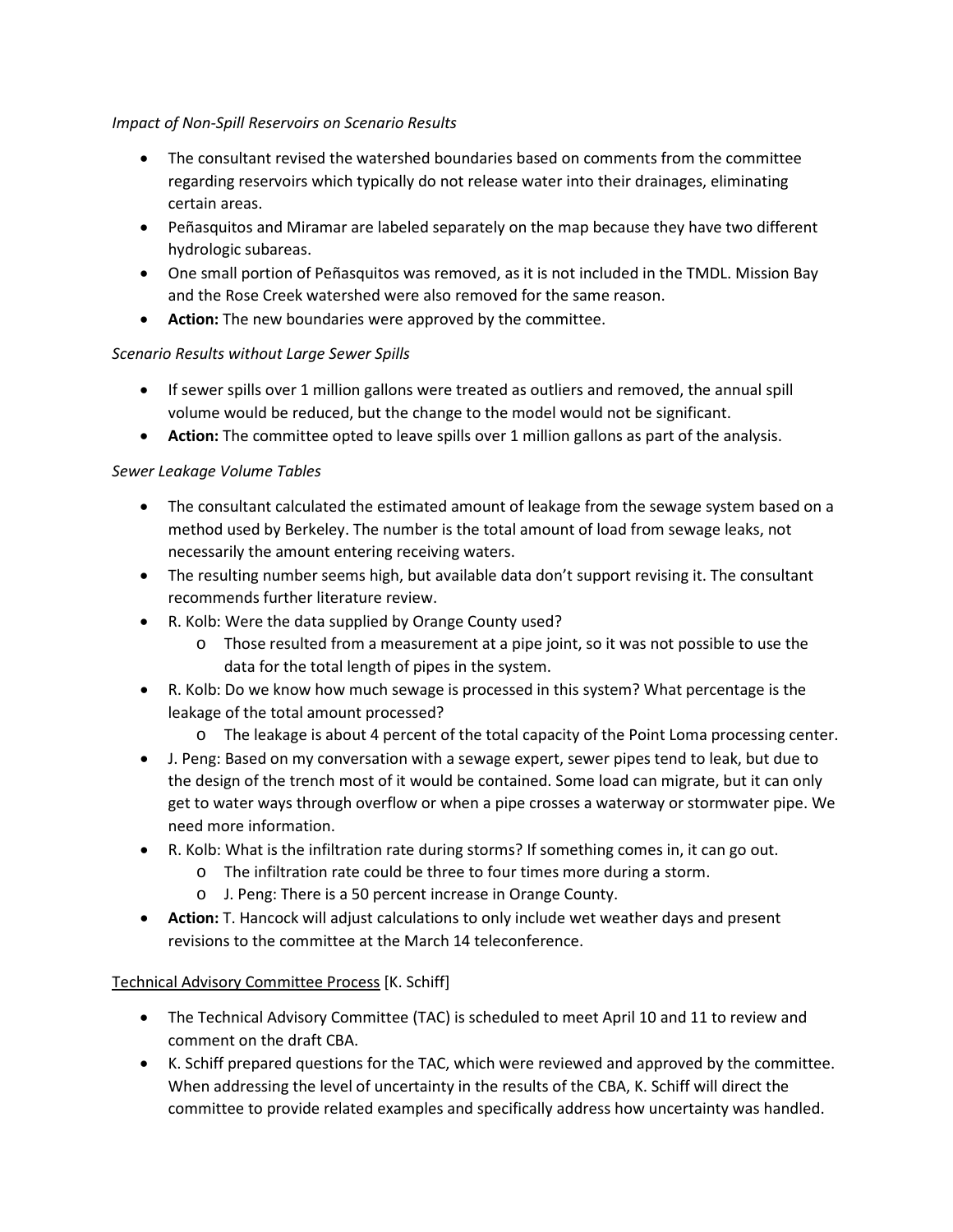#### *Impact of Non-Spill Reservoirs on Scenario Results*

- The consultant revised the watershed boundaries based on comments from the committee regarding reservoirs which typically do not release water into their drainages, eliminating certain areas.
- Peñasquitos and Miramar are labeled separately on the map because they have two different hydrologic subareas.
- One small portion of Peñasquitos was removed, as it is not included in the TMDL. Mission Bay and the Rose Creek watershed were also removed for the same reason.
- **Action:** The new boundaries were approved by the committee.

### *Scenario Results without Large Sewer Spills*

- If sewer spills over 1 million gallons were treated as outliers and removed, the annual spill volume would be reduced, but the change to the model would not be significant.
- **Action:** The committee opted to leave spills over 1 million gallons as part of the analysis.

## *Sewer Leakage Volume Tables*

- The consultant calculated the estimated amount of leakage from the sewage system based on a method used by Berkeley. The number is the total amount of load from sewage leaks, not necessarily the amount entering receiving waters.
- The resulting number seems high, but available data don't support revising it. The consultant recommends further literature review.
- R. Kolb: Were the data supplied by Orange County used?
	- o Those resulted from a measurement at a pipe joint, so it was not possible to use the data for the total length of pipes in the system.
- R. Kolb: Do we know how much sewage is processed in this system? What percentage is the leakage of the total amount processed?
	- o The leakage is about 4 percent of the total capacity of the Point Loma processing center.
- J. Peng: Based on my conversation with a sewage expert, sewer pipes tend to leak, but due to the design of the trench most of it would be contained. Some load can migrate, but it can only get to water ways through overflow or when a pipe crosses a waterway or stormwater pipe. We need more information.
- R. Kolb: What is the infiltration rate during storms? If something comes in, it can go out.
	- o The infiltration rate could be three to four times more during a storm.
	- o J. Peng: There is a 50 percent increase in Orange County.
- **Action:** T. Hancock will adjust calculations to only include wet weather days and present revisions to the committee at the March 14 teleconference.

# Technical Advisory Committee Process [K. Schiff]

- The Technical Advisory Committee (TAC) is scheduled to meet April 10 and 11 to review and comment on the draft CBA.
- K. Schiff prepared questions for the TAC, which were reviewed and approved by the committee. When addressing the level of uncertainty in the results of the CBA, K. Schiff will direct the committee to provide related examples and specifically address how uncertainty was handled.